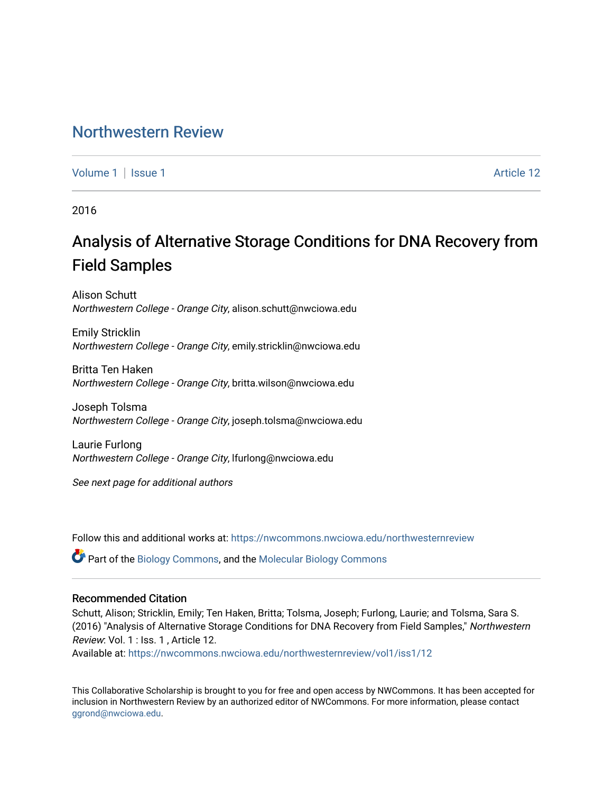## [Northwestern Review](https://nwcommons.nwciowa.edu/northwesternreview)

[Volume 1](https://nwcommons.nwciowa.edu/northwesternreview/vol1) | [Issue 1](https://nwcommons.nwciowa.edu/northwesternreview/vol1/iss1) Article 12

2016

# Analysis of Alternative Storage Conditions for DNA Recovery from Field Samples

Alison Schutt Northwestern College - Orange City, alison.schutt@nwciowa.edu

Emily Stricklin Northwestern College - Orange City, emily.stricklin@nwciowa.edu

Britta Ten Haken Northwestern College - Orange City, britta.wilson@nwciowa.edu

Joseph Tolsma Northwestern College - Orange City, joseph.tolsma@nwciowa.edu

Laurie Furlong Northwestern College - Orange City, lfurlong@nwciowa.edu

See next page for additional authors

Follow this and additional works at: [https://nwcommons.nwciowa.edu/northwesternreview](https://nwcommons.nwciowa.edu/northwesternreview?utm_source=nwcommons.nwciowa.edu%2Fnorthwesternreview%2Fvol1%2Fiss1%2F12&utm_medium=PDF&utm_campaign=PDFCoverPages) 

**C** Part of the [Biology Commons,](http://network.bepress.com/hgg/discipline/41?utm_source=nwcommons.nwciowa.edu%2Fnorthwesternreview%2Fvol1%2Fiss1%2F12&utm_medium=PDF&utm_campaign=PDFCoverPages) and the Molecular Biology Commons

### Recommended Citation

Schutt, Alison; Stricklin, Emily; Ten Haken, Britta; Tolsma, Joseph; Furlong, Laurie; and Tolsma, Sara S. (2016) "Analysis of Alternative Storage Conditions for DNA Recovery from Field Samples," Northwestern Review: Vol. 1 : Iss. 1 , Article 12.

Available at: [https://nwcommons.nwciowa.edu/northwesternreview/vol1/iss1/12](https://nwcommons.nwciowa.edu/northwesternreview/vol1/iss1/12?utm_source=nwcommons.nwciowa.edu%2Fnorthwesternreview%2Fvol1%2Fiss1%2F12&utm_medium=PDF&utm_campaign=PDFCoverPages) 

This Collaborative Scholarship is brought to you for free and open access by NWCommons. It has been accepted for inclusion in Northwestern Review by an authorized editor of NWCommons. For more information, please contact [ggrond@nwciowa.edu.](mailto:ggrond@nwciowa.edu)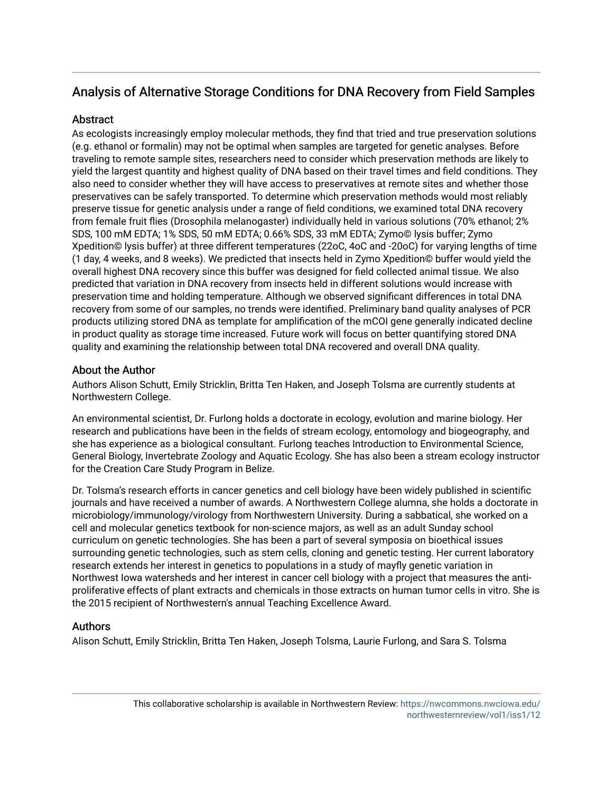## Analysis of Alternative Storage Conditions for DNA Recovery from Field Samples

### **Abstract**

As ecologists increasingly employ molecular methods, they find that tried and true preservation solutions (e.g. ethanol or formalin) may not be optimal when samples are targeted for genetic analyses. Before traveling to remote sample sites, researchers need to consider which preservation methods are likely to yield the largest quantity and highest quality of DNA based on their travel times and field conditions. They also need to consider whether they will have access to preservatives at remote sites and whether those preservatives can be safely transported. To determine which preservation methods would most reliably preserve tissue for genetic analysis under a range of field conditions, we examined total DNA recovery from female fruit flies (Drosophila melanogaster) individually held in various solutions (70% ethanol; 2% SDS, 100 mM EDTA; 1% SDS, 50 mM EDTA; 0.66% SDS, 33 mM EDTA; Zymo© lysis buffer; Zymo Xpedition© lysis buffer) at three different temperatures (22oC, 4oC and -20oC) for varying lengths of time (1 day, 4 weeks, and 8 weeks). We predicted that insects held in Zymo Xpedition© buffer would yield the overall highest DNA recovery since this buffer was designed for field collected animal tissue. We also predicted that variation in DNA recovery from insects held in different solutions would increase with preservation time and holding temperature. Although we observed significant differences in total DNA recovery from some of our samples, no trends were identified. Preliminary band quality analyses of PCR products utilizing stored DNA as template for amplification of the mCOI gene generally indicated decline in product quality as storage time increased. Future work will focus on better quantifying stored DNA quality and examining the relationship between total DNA recovered and overall DNA quality.

### About the Author

Authors Alison Schutt, Emily Stricklin, Britta Ten Haken, and Joseph Tolsma are currently students at Northwestern College.

An environmental scientist, Dr. Furlong holds a doctorate in ecology, evolution and marine biology. Her research and publications have been in the fields of stream ecology, entomology and biogeography, and she has experience as a biological consultant. Furlong teaches Introduction to Environmental Science, General Biology, Invertebrate Zoology and Aquatic Ecology. She has also been a stream ecology instructor for the Creation Care Study Program in Belize.

Dr. Tolsma's research efforts in cancer genetics and cell biology have been widely published in scientific journals and have received a number of awards. A Northwestern College alumna, she holds a doctorate in microbiology/immunology/virology from Northwestern University. During a sabbatical, she worked on a cell and molecular genetics textbook for non-science majors, as well as an adult Sunday school curriculum on genetic technologies. She has been a part of several symposia on bioethical issues surrounding genetic technologies, such as stem cells, cloning and genetic testing. Her current laboratory research extends her interest in genetics to populations in a study of mayfly genetic variation in Northwest Iowa watersheds and her interest in cancer cell biology with a project that measures the antiproliferative effects of plant extracts and chemicals in those extracts on human tumor cells in vitro. She is the 2015 recipient of Northwestern's annual Teaching Excellence Award.

### Authors

Alison Schutt, Emily Stricklin, Britta Ten Haken, Joseph Tolsma, Laurie Furlong, and Sara S. Tolsma